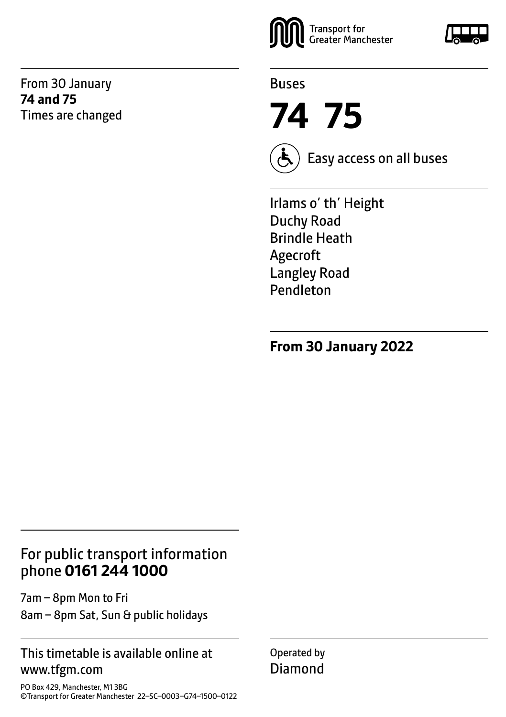From 30 January **74 and 75** Times are changed



Buses

**74 75**



Easy access on all buses

Irlams o' th' Height Duchy Road Brindle Heath Agecroft Langley Road Pendleton

**From 30 January 2022**

## For public transport information phone **0161 244 1000**

7am – 8pm Mon to Fri 8am – 8pm Sat, Sun & public holidays

#### This timetable is available online at www.tfgm.com

PO Box 429, Manchester, M1 3BG ©Transport for Greater Manchester 22–SC–0003–G74–1500–0122 Operated by Diamond

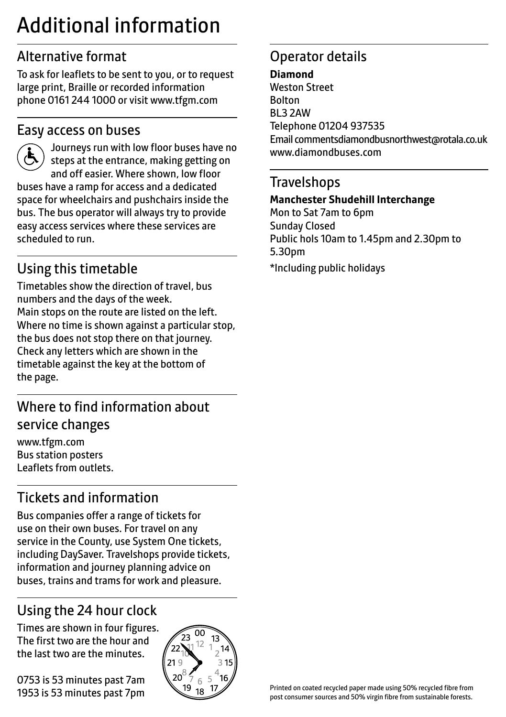# Additional information

# Alternative format

To ask for leaflets to be sent to you, or to request large print, Braille or recorded information phone 0161 244 1000 or visit www.tfgm.com

#### Easy access on buses



 Journeys run with low floor buses have no steps at the entrance, making getting on and off easier. Where shown, low floor buses have a ramp for access and a dedicated space for wheelchairs and pushchairs inside the bus. The bus operator will always try to provide easy access services where these services are scheduled to run.

# Using this timetable

Timetables show the direction of travel, bus numbers and the days of the week. Main stops on the route are listed on the left. Where no time is shown against a particular stop, the bus does not stop there on that journey. Check any letters which are shown in the timetable against the key at the bottom of the page.

# Where to find information about service changes

www.tfgm.com Bus station posters Leaflets from outlets.

# Tickets and information

Bus companies offer a range of tickets for use on their own buses. For travel on any service in the County, use System One tickets, including DaySaver. Travelshops provide tickets, information and journey planning advice on buses, trains and trams for work and pleasure.

# Using the 24 hour clock

Times are shown in four figures. The first two are the hour and the last two are the minutes.

0753 is 53 minutes past 7am 1953 is 53 minutes past 7pm



# Operator details

#### **Diamond**

Weston Street Bolton BL3 2AW Telephone 01204 937535 Email commentsdiamondbusnorthwest@rotala.co.uk www.diamondbuses.com

#### **Travelshops**

#### **Manchester Shudehill Interchange**

Mon to Sat 7am to 6pm Sunday Closed Public hols 10am to 1.45pm and 2.30pm to 5.30pm \*Including public holidays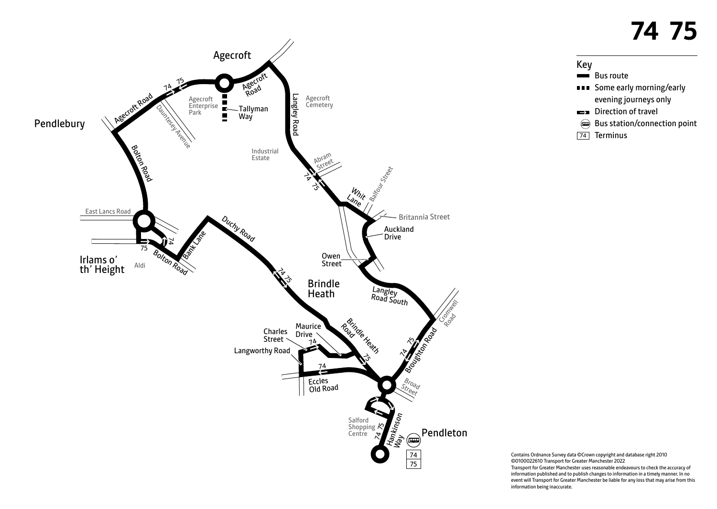



Contains Ordnance Survey data ©Crown copyright and database right 2010 ©0100022610 Transport for Greater Manchester 2022 Transport for Greater Manchester uses reasonable endeavours to check the accuracy of information published and to publish changes to information in a timely manner. In no event will Transport for Greater Manchester be liable for any loss that may arise from this information being inaccurate.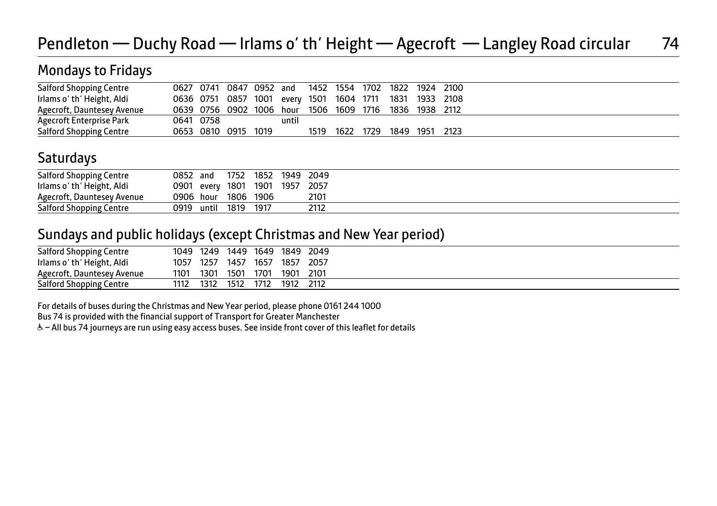# Pendleton — Duchy Road — Irlams o' th' Height — Agecroft — Langley Road circular 74

## Mondays to Fridays

| <b>Salford Shopping Centre</b> |                                                         |           |                     |       |      |      | 0627 0741 0847 0952 and 1452 1554 1702 1822 1924 2100  |  |
|--------------------------------|---------------------------------------------------------|-----------|---------------------|-------|------|------|--------------------------------------------------------|--|
| Irlams o' th' Height, Aldi     | 0636 0751 0857 1001 every 1501 1604 1711 1831 1933 2108 |           |                     |       |      |      |                                                        |  |
| Agecroft, Dauntesey Avenue     |                                                         |           |                     |       |      |      | 0639 0756 0902 1006 hour 1506 1609 1716 1836 1938 2112 |  |
| Agecroft Enterprise Park       |                                                         | 0641 0758 |                     | until |      |      |                                                        |  |
| <b>Salford Shopping Centre</b> |                                                         |           | 0653 0810 0915 1019 |       | 1519 | 1622 | 1729 1849 1951 2123                                    |  |

#### **Saturdays**

|      | 1752                           | 1852 | 2049                                           |
|------|--------------------------------|------|------------------------------------------------|
|      |                                |      | 2057                                           |
|      |                                |      | 2101                                           |
| 0919 | 1819                           | 1917 | 2112                                           |
|      | 0852 and<br>0906 hour<br>until |      | 1949<br>0901 every 1801 1901 1957<br>1806 1906 |

#### Sundays and public holidays (except Christmas and New Year period)

| <b>Salford Shopping Centre</b> | 1049 | 1249 | 1449 | 1649 | 1849 | 2049 |
|--------------------------------|------|------|------|------|------|------|
| Irlams o' th' Height, Aldi     | 1057 | 1257 | 1457 | 1657 | 1857 | 2057 |
| Agecroft, Dauntesey Avenue     | 1101 | 1301 | 1501 | 1701 | 1901 | 2101 |
| <b>Salford Shopping Centre</b> | 1112 | 1312 | 1512 | 1712 | 1912 | 2112 |

For details of buses during the Christmas and New Year period, please phone 0161 244 1000

Bus 74 is provided with the financial support of Transport for Greater Manchester

W– All bus 74 journeys are run using easy access buses. See inside front cover of this leaflet for details